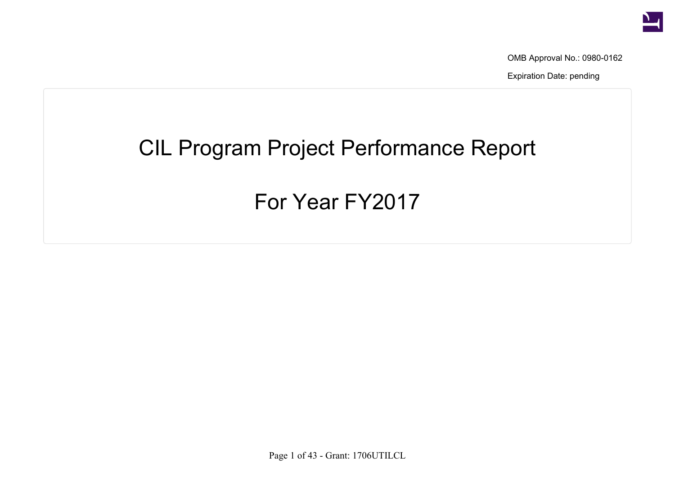

OMB Approval No.: 0980-0162

Expiration Date: pending

## CIL Program Project Performance Report

## For Year FY2017

Page 1 of 43 - Grant: 1706UTILCL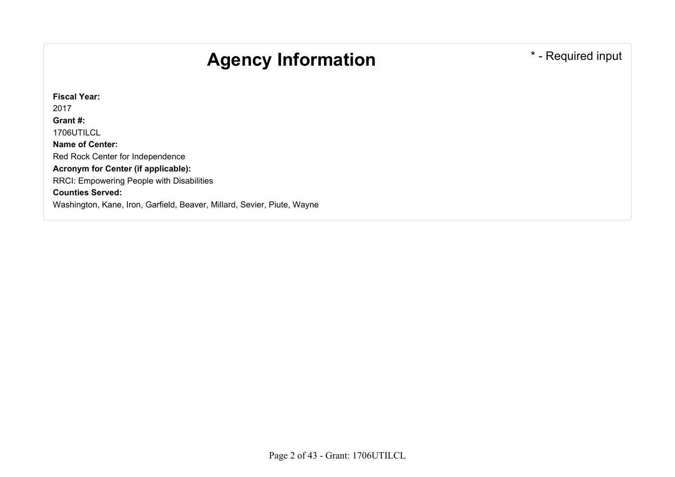## Agency Information **Agency Information**

**Fiscal Year:** 2017 **Grant #:** 1706UTILCL **Name of Center:** Red Rock Center for Independence **Acronym for Center (if applicable):** RRCI: Empowering People with Disabilities **Counties Served:** Washington, Kane, Iron, Garfield, Beaver, Millard, Sevier, Piute, Wayne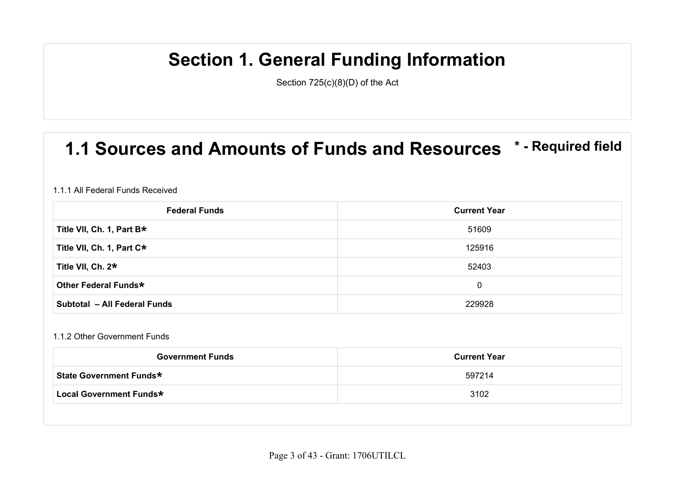## **Section 1. General Funding Information**

Section 725(c)(8)(D) of the Act

### **1.1 Sources and Amounts of Funds and Resources \* - Required field**

#### 1.1.1 All Federal Funds Received

| <b>Federal Funds</b>         | <b>Current Year</b> |
|------------------------------|---------------------|
| Title VII, Ch. 1, Part B*    | 51609               |
| Title VII, Ch. 1, Part C*    | 125916              |
| Title VII, Ch. 2*            | 52403               |
| Other Federal Funds*         | $\mathbf{0}$        |
| Subtotal - All Federal Funds | 229928              |

#### 1.1.2 Other Government Funds

| <b>Government Funds</b>        | <b>Current Year</b> |
|--------------------------------|---------------------|
| <b>State Government Funds*</b> | 597214              |
| Local Government Funds*        | 3102                |
|                                |                     |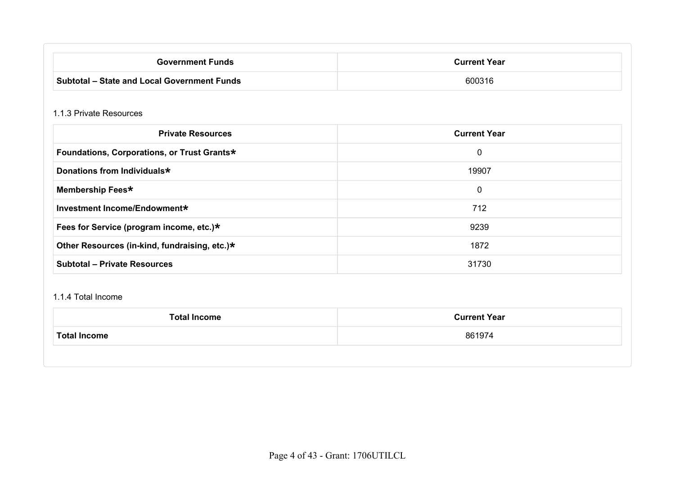| <b>Government Funds</b>                            | <b>Current Year</b> |
|----------------------------------------------------|---------------------|
| <b>Subtotal - State and Local Government Funds</b> | 600316              |

#### 1.1.3 Private Resources

| <b>Private Resources</b>                      | <b>Current Year</b> |
|-----------------------------------------------|---------------------|
| Foundations, Corporations, or Trust Grants*   | 0                   |
| Donations from Individuals*                   | 19907               |
| Membership Fees*                              | $\mathbf 0$         |
| Investment Income/Endowment*                  | 712                 |
| Fees for Service (program income, etc.)*      | 9239                |
| Other Resources (in-kind, fundraising, etc.)* | 1872                |
| <b>Subtotal - Private Resources</b>           | 31730               |

#### 1.1.4 Total Income

| <b>Total Income</b> | <b>Current Year</b> |
|---------------------|---------------------|
| <b>Total Income</b> | 861974              |
|                     |                     |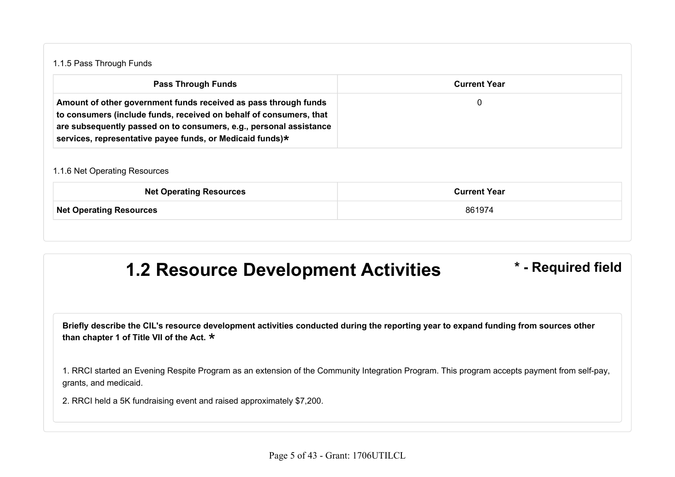#### 1.1.5 Pass Through Funds

| <b>Pass Through Funds</b>                                                                                                                                                                                                                                                | <b>Current Year</b> |
|--------------------------------------------------------------------------------------------------------------------------------------------------------------------------------------------------------------------------------------------------------------------------|---------------------|
| Amount of other government funds received as pass through funds<br>to consumers (include funds, received on behalf of consumers, that<br>are subsequently passed on to consumers, e.g., personal assistance<br>services, representative payee funds, or Medicaid funds)* |                     |

#### 1.1.6 Net Operating Resources

| <b>Net Operating Resources</b> | <b>Current Year</b> |
|--------------------------------|---------------------|
| <b>Net Operating Resources</b> | 861974              |
|                                |                     |

#### **1.2 Resource Development Activities \* - Required field**

**Briefly describe the CIL's resource development activities conducted during the reporting year to expand funding from sources other than chapter 1 of Title VII of the Act.** \*

1. RRCI started an Evening Respite Program as an extension of the Community Integration Program. This program accepts payment from self-pay, grants, and medicaid.

2. RRCI held a 5K fundraising event and raised approximately \$7,200.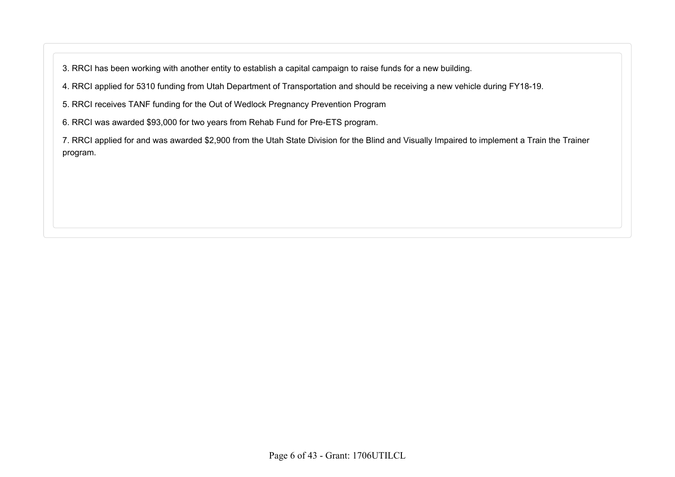3. RRCI has been working with another entity to establish a capital campaign to raise funds for a new building.

4. RRCI applied for 5310 funding from Utah Department of Transportation and should be receiving a new vehicle during FY18-19.

5. RRCI receives TANF funding for the Out of Wedlock Pregnancy Prevention Program

6. RRCI was awarded \$93,000 for two years from Rehab Fund for Pre-ETS program.

7. RRCI applied for and was awarded \$2,900 from the Utah State Division for the Blind and Visually Impaired to implement a Train the Trainer program.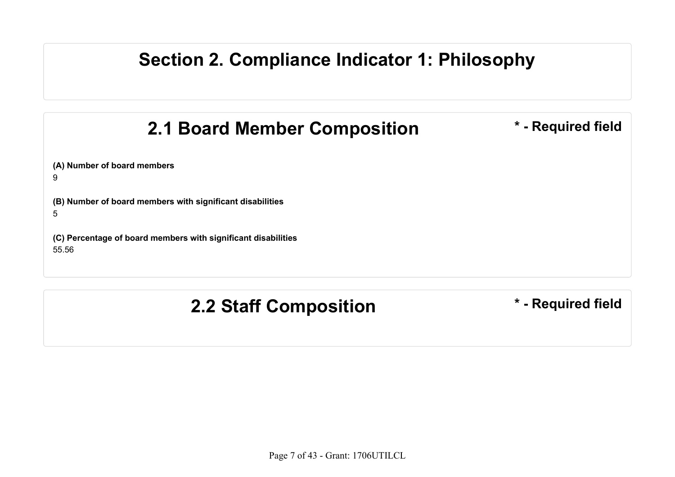#### **Section 2. Compliance Indicator 1: Philosophy**

## **2.1 Board Member Composition**  $*$  **- Required field**

**(A) Number of board members**

9

5

**(B) Number of board members with significant disabilities**

**(C) Percentage of board members with significant disabilities** 55.56

**2.2 Staff Composition \* - Required field**

Page 7 of 43 - Grant: 1706UTILCL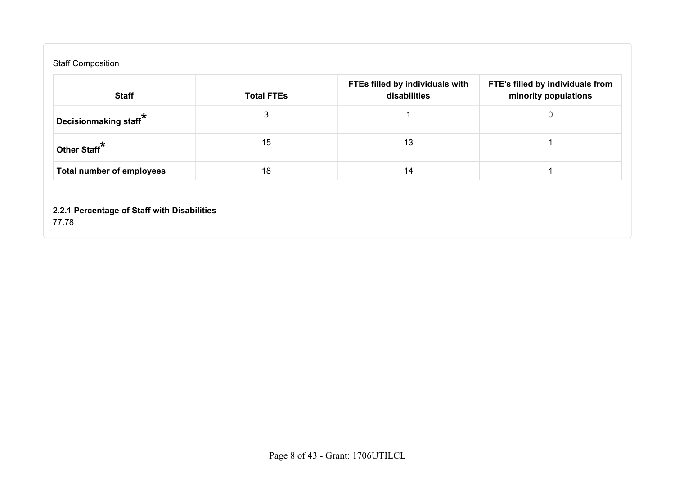| <b>Staff Composition</b>           |                   |                                                 |                                                          |
|------------------------------------|-------------------|-------------------------------------------------|----------------------------------------------------------|
| <b>Staff</b>                       | <b>Total FTEs</b> | FTEs filled by individuals with<br>disabilities | FTE's filled by individuals from<br>minority populations |
| Decisionmaking staff $^{\bigstar}$ | 3                 |                                                 |                                                          |
| Other Staff <sup>*</sup>           | 15                | 13                                              |                                                          |
| <b>Total number of employees</b>   | 18                | 14                                              |                                                          |

**2.2.1 Percentage of Staff with Disabilities**

77.78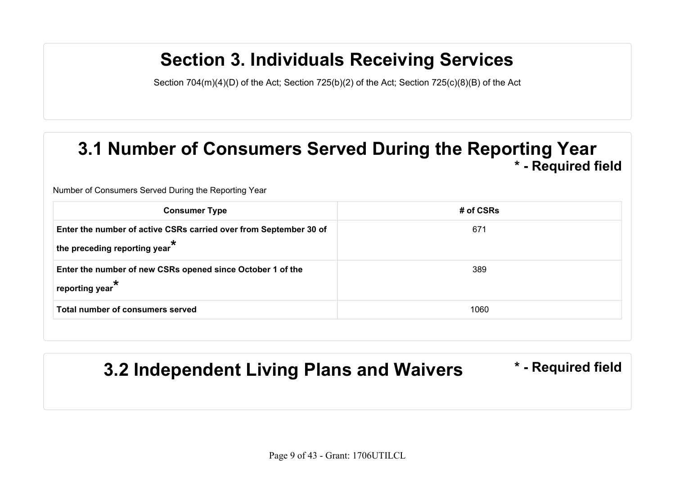## **Section 3. Individuals Receiving Services**

Section 704(m)(4)(D) of the Act; Section 725(b)(2) of the Act; Section 725(c)(8)(B) of the Act

#### **3.1 Number of Consumers Served During the Reporting Year \* - Required field**

Number of Consumers Served During the Reporting Year

| <b>Consumer Type</b>                                                                                         | # of CSRs |
|--------------------------------------------------------------------------------------------------------------|-----------|
| Enter the number of active CSRs carried over from September 30 of<br>the preceding reporting year $^{\star}$ | 671       |
| Enter the number of new CSRs opened since October 1 of the<br>$^\parallel$ reporting year $^\star$           | 389       |
| Total number of consumers served                                                                             | 1060      |
|                                                                                                              |           |

## **3.2 Independent Living Plans and Waivers \* - Required field**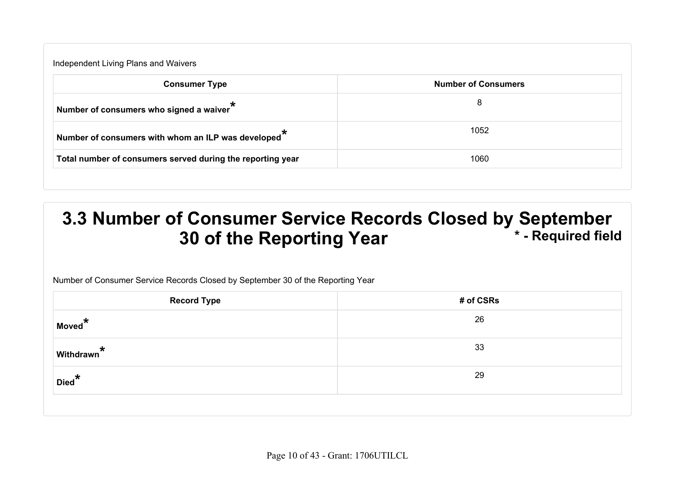| Independent Living Plans and Waivers                            |                            |
|-----------------------------------------------------------------|----------------------------|
| <b>Consumer Type</b>                                            | <b>Number of Consumers</b> |
| Number of consumers who signed a waiver                         | 8                          |
| Number of consumers with whom an ILP was developed <sup>*</sup> | 1052                       |
| Total number of consumers served during the reporting year      | 1060                       |

#### **3.3 Number of Consumer Service Records Closed by September<br>30 of the Reporting Year \* - Required field 30 of the Reporting Year**

Number of Consumer Service Records Closed by September 30 of the Reporting Year

| <b>Record Type</b>     | # of CSRs |
|------------------------|-----------|
| Moved <sup>*</sup>     | 26        |
| withdrawn <sup>*</sup> | 33        |
| Died*                  | 29        |
|                        |           |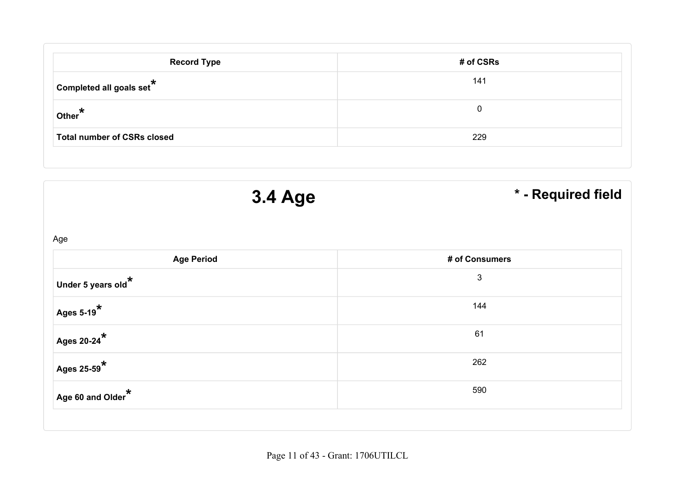| <b>Record Type</b>                 | # of CSRs |
|------------------------------------|-----------|
| Completed all goals set $*$        | 141       |
| $\circ$ Other $^{\star}$           | 0         |
| <b>Total number of CSRs closed</b> | 229       |

| <b>3.4 Age</b>                         | * - Required field |
|----------------------------------------|--------------------|
| Age                                    |                    |
| <b>Age Period</b>                      | # of Consumers     |
| Under 5 years old $^{\star}$           | $\mathfrak{B}$     |
| $\overline{A}$ ges 5-19 $\overline{A}$ | 144                |
| Ages 20-24 $^{\star}$                  | 61                 |
| Ages 25-59 $^{\star}$                  | 262                |
| Age 60 and Older $^{\star}$            | 590                |

Page 11 of 43 - Grant: 1706UTILCL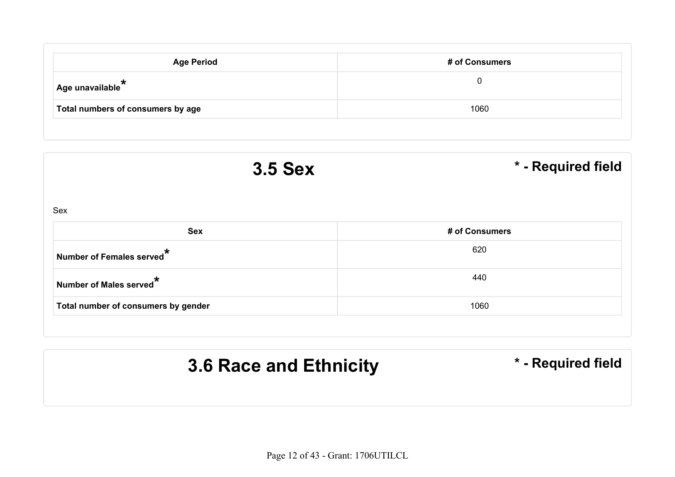| <b>Age Period</b>                 | # of Consumers |
|-----------------------------------|----------------|
| Age unavailable $*$               | 0              |
| Total numbers of consumers by age | 1060           |

| <b>3.5 Sex</b>                        | * - Required field |
|---------------------------------------|--------------------|
| Sex                                   |                    |
| <b>Sex</b>                            | # of Consumers     |
| Number of Females served <sup>*</sup> | 620                |
| Number of Males served <sup>*</sup>   | 440                |
| Total number of consumers by gender   | 1060               |

# **3.6 Race and Ethnicity \* - Required field**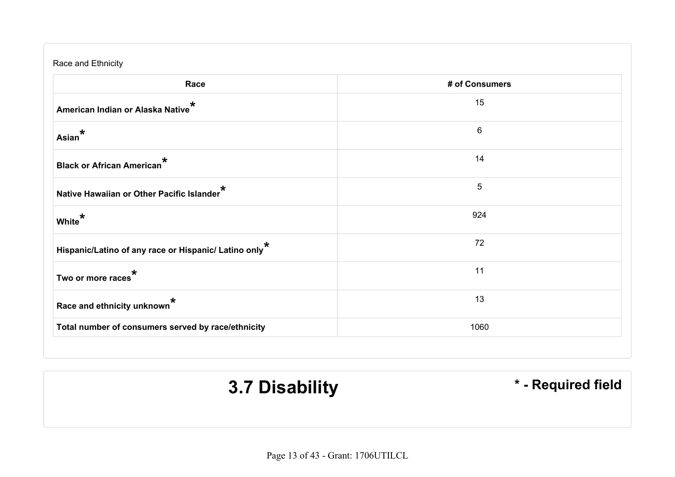| Race and Ethnicity                                                |                |  |  |
|-------------------------------------------------------------------|----------------|--|--|
| Race                                                              | # of Consumers |  |  |
| American Indian or Alaska Native <sup>*</sup>                     | 15             |  |  |
| Asian <sup>*</sup>                                                | 6              |  |  |
| Black or African American <sup>*</sup>                            | 14             |  |  |
| Native Hawaiian or Other Pacific Islander                         | 5              |  |  |
| White <sup>*</sup>                                                | 924            |  |  |
| Hispanic/Latino of any race or Hispanic/ Latino only <sup>*</sup> | 72             |  |  |
| Two or more races <sup>*</sup>                                    | 11             |  |  |
| Race and ethnicity unknown <sup>*</sup>                           | 13             |  |  |
| Total number of consumers served by race/ethnicity                | 1060           |  |  |

**3.7 Disability \*** - Required field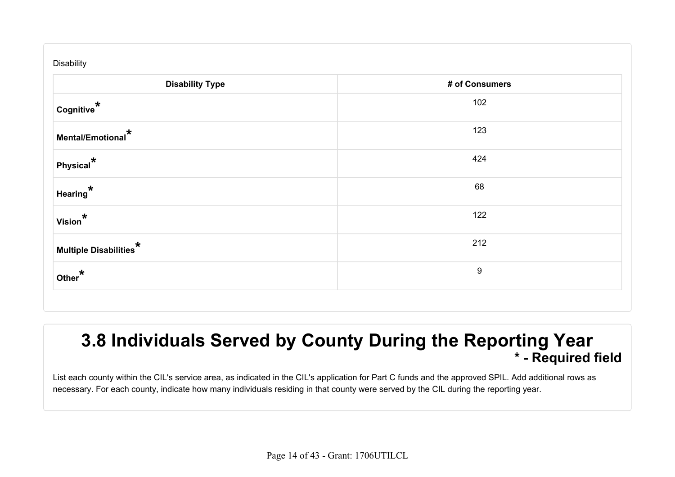| Disability                               |                  |  |  |  |
|------------------------------------------|------------------|--|--|--|
| <b>Disability Type</b><br># of Consumers |                  |  |  |  |
| $^{\dagger}$ Cognitive $^{\star}$        | 102              |  |  |  |
| Mental/Emotional*                        | 123              |  |  |  |
| $ P$ hysical $^*$                        | 424              |  |  |  |
| Hearing <sup>*</sup>                     | 68               |  |  |  |
| Vision <sup>*</sup>                      | 122              |  |  |  |
| Multiple Disabilities $^\star$           | 212              |  |  |  |
| Other*                                   | $\boldsymbol{9}$ |  |  |  |

#### **3.8 Individuals Served by County During the Reporting Year \* - Required field**

List each county within the CIL's service area, as indicated in the CIL's application for Part C funds and the approved SPIL. Add additional rows as necessary. For each county, indicate how many individuals residing in that county were served by the CIL during the reporting year.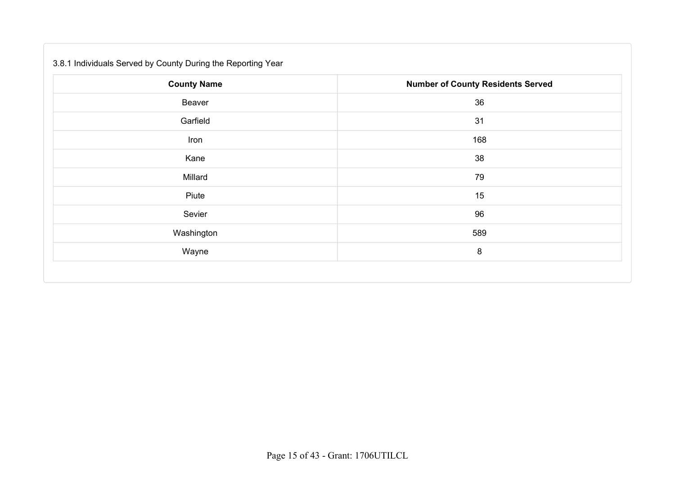#### 3.8.1 Individuals Served by County During the Reporting Year

| <b>County Name</b> | <b>Number of County Residents Served</b> |
|--------------------|------------------------------------------|
| Beaver             | 36                                       |
| Garfield           | 31                                       |
| Iron               | 168                                      |
| Kane               | 38                                       |
| Millard            | 79                                       |
| Piute              | 15                                       |
| Sevier             | 96                                       |
| Washington         | 589                                      |
| Wayne              | 8                                        |
|                    |                                          |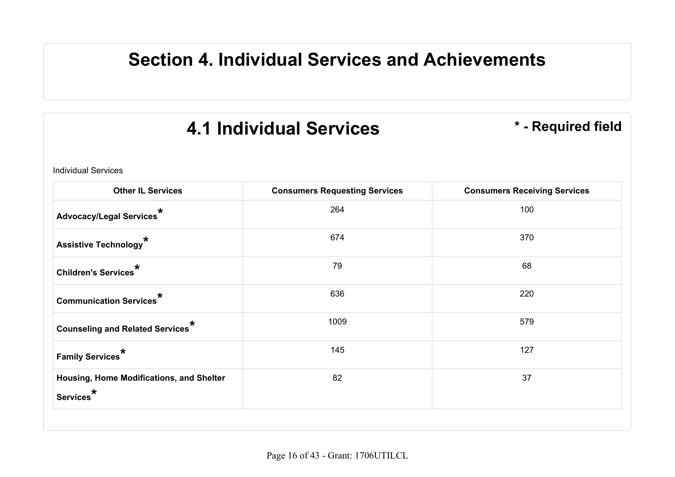## **Section 4. Individual Services and Achievements**

## **4.1 Individual Services \* - Required field**

Individual Services

| <b>Other IL Services</b>                                          | <b>Consumers Requesting Services</b> | <b>Consumers Receiving Services</b> |
|-------------------------------------------------------------------|--------------------------------------|-------------------------------------|
| Advocacy/Legal Services*                                          | 264                                  | 100                                 |
| Assistive Technology <sup>*</sup>                                 | 674                                  | 370                                 |
| Children's Services*                                              | 79                                   | 68                                  |
| <b>Communication Services*</b>                                    | 636                                  | 220                                 |
| <b>Counseling and Related Services</b> <sup>*</sup>               | 1009                                 | 579                                 |
| Family Services $^\star$                                          | 145                                  | 127                                 |
| Housing, Home Modifications, and Shelter<br>Services <sup>*</sup> | 82                                   | 37                                  |
|                                                                   |                                      |                                     |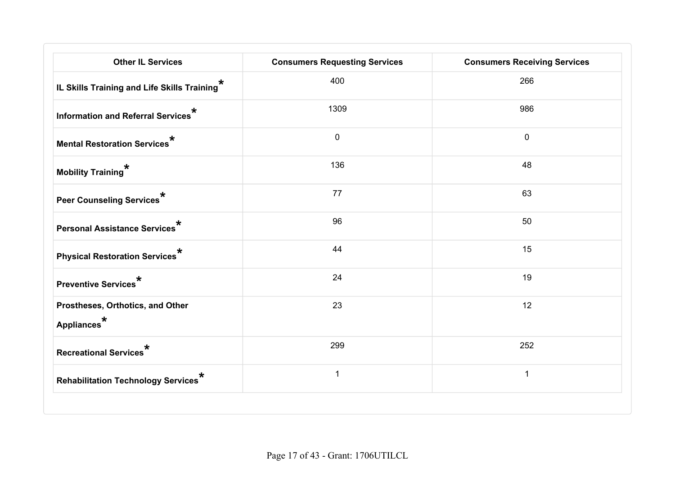| <b>Other IL Services</b>                                    | <b>Consumers Requesting Services</b> | <b>Consumers Receiving Services</b> |
|-------------------------------------------------------------|--------------------------------------|-------------------------------------|
| IL Skills Training and Life Skills Training <sup>*</sup>    | 400                                  | 266                                 |
| Information and Referral Services <sup>*</sup>              | 1309                                 | 986                                 |
| <b>Mental Restoration Services*</b>                         | $\mathbf 0$                          | $\mathbf 0$                         |
| Mobility Training*                                          | 136                                  | 48                                  |
| Peer Counseling Services*                                   | 77                                   | 63                                  |
| <b>Personal Assistance Services</b> *                       | 96                                   | 50                                  |
| Physical Restoration Services*                              | 44                                   | 15                                  |
| Preventive Services <sup>*</sup>                            | 24                                   | 19                                  |
| Prostheses, Orthotics, and Other<br>Appliances <sup>*</sup> | 23                                   | 12                                  |
| Recreational Services*                                      | 299                                  | 252                                 |
| Rehabilitation Technology Services <sup>*</sup>             | $\mathbf{1}$                         | $\mathbf{1}$                        |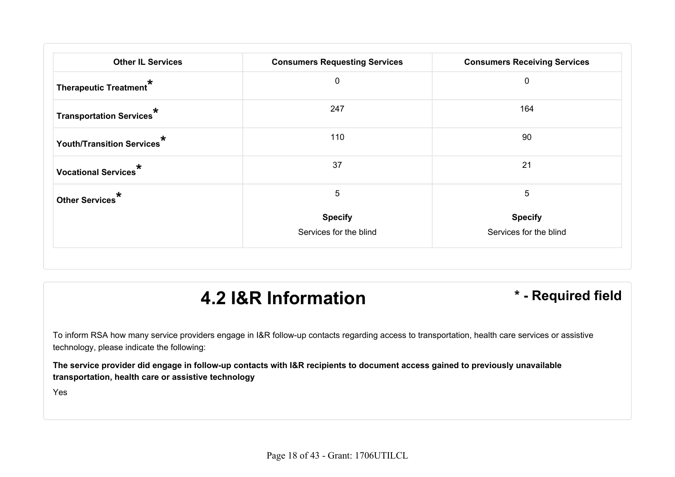| <b>Other IL Services</b>               | <b>Consumers Requesting Services</b> | <b>Consumers Receiving Services</b> |
|----------------------------------------|--------------------------------------|-------------------------------------|
| Therapeutic Treatment*                 | $\mathbf 0$                          | $\mathbf 0$                         |
| Transportation Services <sup>*</sup>   | 247                                  | 164                                 |
| Youth/Transition Services <sup>*</sup> | 110                                  | 90                                  |
| Vocational Services <sup>*</sup>       | 37                                   | 21                                  |
| Other Services <sup>*</sup>            | 5                                    | 5                                   |
|                                        | <b>Specify</b>                       | <b>Specify</b>                      |
|                                        | Services for the blind               | Services for the blind              |

## **4.2 I&R Information \* - Required field**

To inform RSA how many service providers engage in I&R follow-up contacts regarding access to transportation, health care services or assistive technology, please indicate the following:

**The service provider did engage in follow-up contacts with I&R recipients to document access gained to previously unavailable transportation, health care or assistive technology**

Yes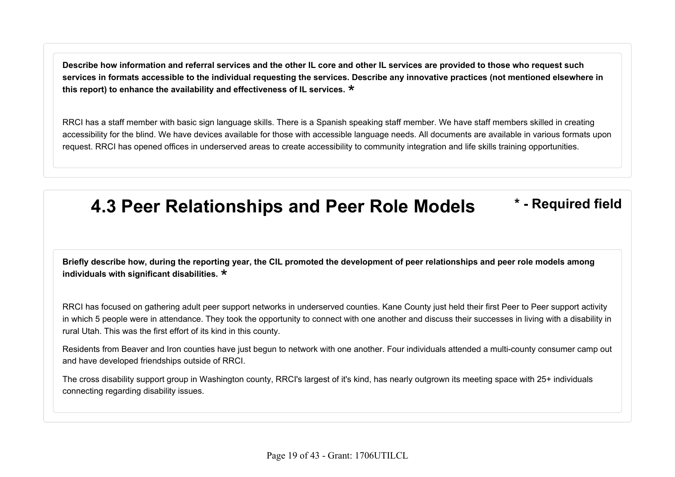**Describe how information and referral services and the other IL core and other IL services are provided to those who request such services in formats accessible to the individual requesting the services. Describe any innovative practices (not mentioned elsewhere in this report) to enhance the availability and effectiveness of IL services.** \*

RRCI has a staff member with basic sign language skills. There is a Spanish speaking staff member. We have staff members skilled in creating accessibility for the blind. We have devices available for those with accessible language needs. All documents are available in various formats upon request. RRCI has opened offices in underserved areas to create accessibility to community integration and life skills training opportunities.

## **4.3 Peer Relationships and Peer Role Models \* - Required field**

**Briefly describe how, during the reporting year, the CIL promoted the development of peer relationships and peer role models among individuals with significant disabilities.** \*

RRCI has focused on gathering adult peer support networks in underserved counties. Kane County just held their first Peer to Peer support activity in which 5 people were in attendance. They took the opportunity to connect with one another and discuss their successes in living with a disability in rural Utah. This was the first effort of its kind in this county.

Residents from Beaver and Iron counties have just begun to network with one another. Four individuals attended a multi-county consumer camp out and have developed friendships outside of RRCI.

The cross disability support group in Washington county, RRCI's largest of it's kind, has nearly outgrown its meeting space with 25+ individuals connecting regarding disability issues.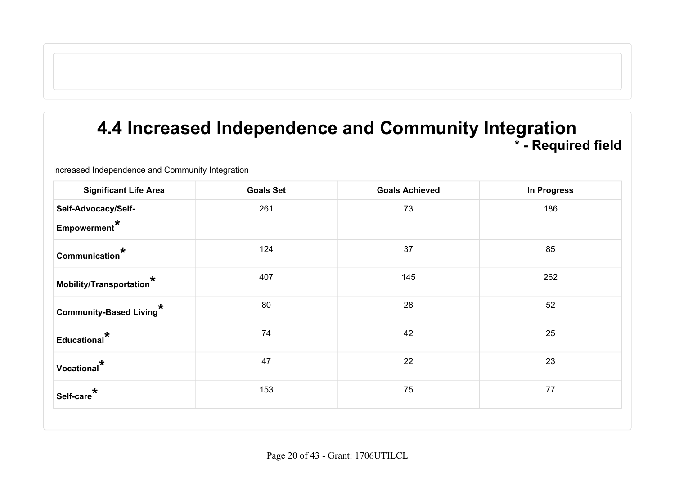#### **4.4 Increased Independence and Community Integration \* - Required field**

Increased Independence and Community Integration

| <b>Significant Life Area</b>                | <b>Goals Set</b> | <b>Goals Achieved</b> | In Progress |
|---------------------------------------------|------------------|-----------------------|-------------|
| Self-Advocacy/Self-<br>Empowerment*         | 261              | 73                    | 186         |
| Communication*                              | 124              | 37                    | 85          |
| Mobility/Transportation $^\star$            | 407              | 145                   | 262         |
| Community-Based Living*                     | 80               | 28                    | 52          |
| Educational <sup>*</sup>                    | 74               | 42                    | 25          |
| Vocational <sup>*</sup>                     | 47               | 22                    | 23          |
| $^{\shortparallel}$ Self-care $^{\bigstar}$ | 153              | 75                    | 77          |
|                                             |                  |                       |             |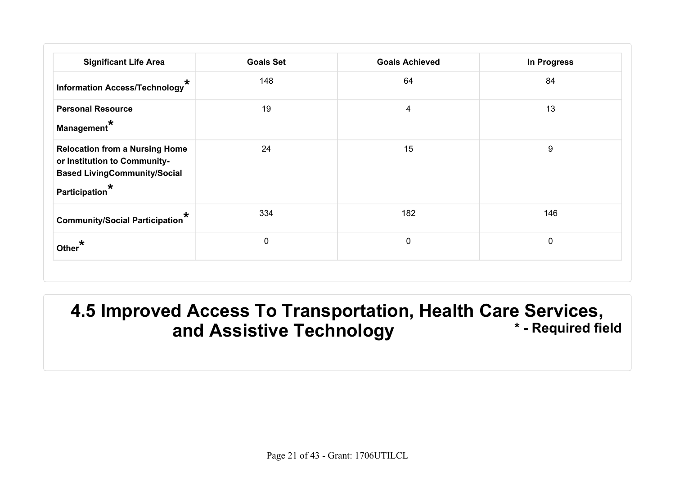| <b>Significant Life Area</b>                                                                                                                          | <b>Goals Set</b> | <b>Goals Achieved</b>   | In Progress |
|-------------------------------------------------------------------------------------------------------------------------------------------------------|------------------|-------------------------|-------------|
| $\star$<br>Information Access/Technology                                                                                                              | 148              | 64                      | 84          |
| <b>Personal Resource</b><br>Management <sup>*</sup>                                                                                                   | 19               | $\overline{\mathbf{4}}$ | 13          |
| <b>Relocation from a Nursing Home</b><br>or Institution to Community-<br><b>Based LivingCommunity/Social</b><br>$^{\dagger}$ Participation $^{\star}$ | 24               | 15                      | 9           |
| <b>Community/Social Participation</b>                                                                                                                 | 334              | 182                     | 146         |
| Other <sup>1</sup>                                                                                                                                    | 0                | $\pmb{0}$               | 0           |

#### **4.5 Improved Access To Transportation, Health Care Services, and Assistive Technology**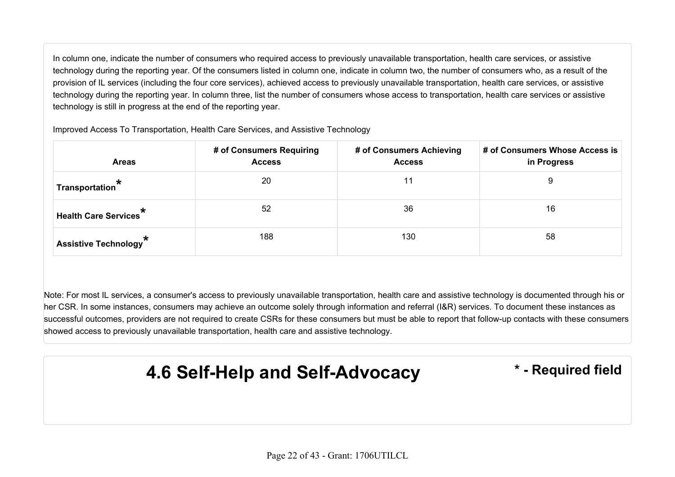In column one, indicate the number of consumers who required access to previously unavailable transportation, health care services, or assistive technology during the reporting year. Of the consumers listed in column one, indicate in column two, the number of consumers who, as a result of the provision of IL services (including the four core services), achieved access to previously unavailable transportation, health care services, or assistive technology during the reporting year. In column three, list the number of consumers whose access to transportation, health care services or assistive technology is still in progress at the end of the reporting year.

| <b>Areas</b>                                           | # of Consumers Requiring<br><b>Access</b> | # of Consumers Achieving<br><b>Access</b> | # of Consumers Whose Access is<br>in Progress |
|--------------------------------------------------------|-------------------------------------------|-------------------------------------------|-----------------------------------------------|
| Transportation $\tilde{\mathbf{r}}$                    | 20                                        | 11                                        | 9                                             |
| <b>Health Care Services<sup><math>\pi</math></sup></b> | 52                                        | 36                                        | 16                                            |
| Assistive Technology <sup>*</sup>                      | 188                                       | 130                                       | 58                                            |

Improved Access To Transportation, Health Care Services, and Assistive Technology

Note: For most IL services, a consumer's access to previously unavailable transportation, health care and assistive technology is documented through his or her CSR. In some instances, consumers may achieve an outcome solely through information and referral (I&R) services. To document these instances as successful outcomes, providers are not required to create CSRs for these consumers but must be able to report that follow-up contacts with these consumers showed access to previously unavailable transportation, health care and assistive technology.

**4.6 Self-Help and Self-Advocacy \* - Required field**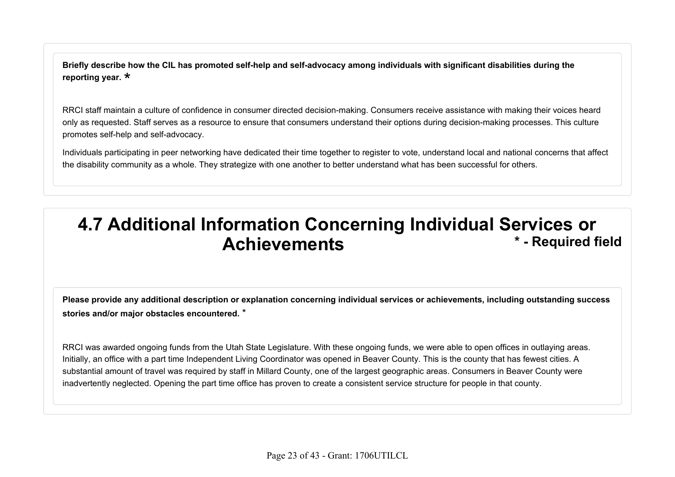**Briefly describe how the CIL has promoted self-help and self-advocacy among individuals with significant disabilities during the reporting year.** \*

RRCI staff maintain a culture of confidence in consumer directed decision-making. Consumers receive assistance with making their voices heard only as requested. Staff serves as a resource to ensure that consumers understand their options during decision-making processes. This culture promotes self-help and self-advocacy.

Individuals participating in peer networking have dedicated their time together to register to vote, understand local and national concerns that affect the disability community as a whole. They strategize with one another to better understand what has been successful for others.

#### **4.7 Additional Information Concerning Individual Services or Achievements \* - Required field**

**Please provide any additional description or explanation concerning individual services or achievements, including outstanding success stories and/or major obstacles encountered.** \*

RRCI was awarded ongoing funds from the Utah State Legislature. With these ongoing funds, we were able to open offices in outlaying areas. Initially, an office with a part time Independent Living Coordinator was opened in Beaver County. This is the county that has fewest cities. A substantial amount of travel was required by staff in Millard County, one of the largest geographic areas. Consumers in Beaver County were inadvertently neglected. Opening the part time office has proven to create a consistent service structure for people in that county.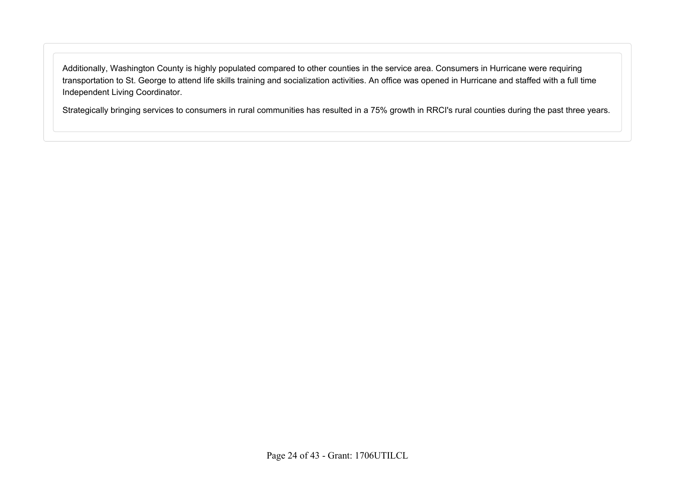Additionally, Washington County is highly populated compared to other counties in the service area. Consumers in Hurricane were requiring transportation to St. George to attend life skills training and socialization activities. An office was opened in Hurricane and staffed with a full time Independent Living Coordinator.

Strategically bringing services to consumers in rural communities has resulted in a 75% growth in RRCI's rural counties during the past three years.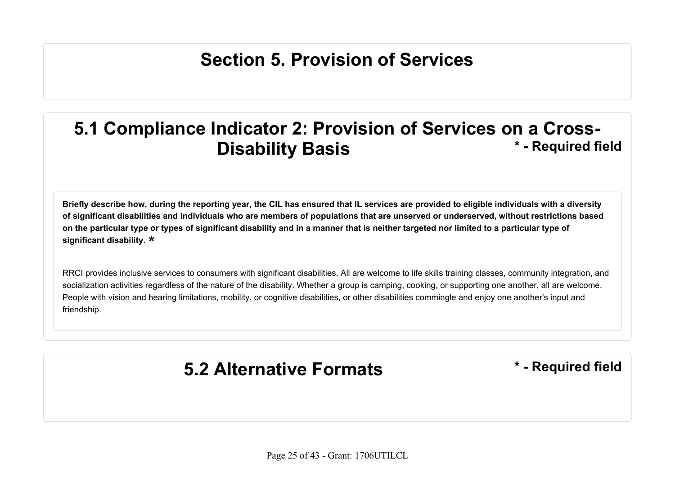## **Section 5. Provision of Services**

#### **5.1 Compliance Indicator 2: Provision of Services on a Cross-Disability Basis the Contract of August 2015 has a state of the Contract 2015 has a state of the Contract 2016 has a state of the Contract 2016 has a state of the Contract 2016 has a state of the Contract 2016**

**Briefly describe how, during the reporting year, the CIL has ensured that IL services are provided to eligible individuals with a diversity of significant disabilities and individuals who are members of populations that are unserved or underserved, without restrictions based on the particular type or types of significant disability and in a manner that is neither targeted nor limited to a particular type of significant disability.** \*

RRCI provides inclusive services to consumers with significant disabilities. All are welcome to life skills training classes, community integration, and socialization activities regardless of the nature of the disability. Whether a group is camping, cooking, or supporting one another, all are welcome. People with vision and hearing limitations, mobility, or cognitive disabilities, or other disabilities commingle and enjoy one another's input and friendship.

## **5.2 Alternative Formats \* - Required field**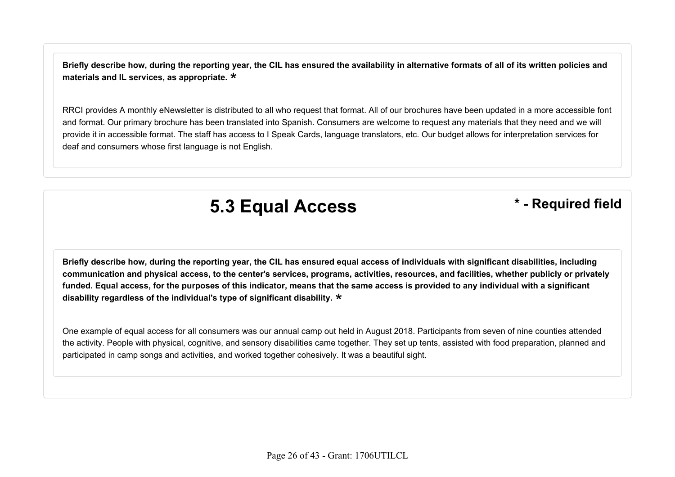**Briefly describe how, during the reporting year, the CIL has ensured the availability in alternative formats of all of its written policies and materials and IL services, as appropriate.** \*

RRCI provides A monthly eNewsletter is distributed to all who request that format. All of our brochures have been updated in a more accessible font and format. Our primary brochure has been translated into Spanish. Consumers are welcome to request any materials that they need and we will provide it in accessible format. The staff has access to I Speak Cards, language translators, etc. Our budget allows for interpretation services for deaf and consumers whose first language is not English.

## **5.3 Equal Access \* - Required field**

**Briefly describe how, during the reporting year, the CIL has ensured equal access of individuals with significant disabilities, including communication and physical access, to the center's services, programs, activities, resources, and facilities, whether publicly or privately funded. Equal access, for the purposes of this indicator, means that the same access is provided to any individual with a significant disability regardless of the individual's type of significant disability.** \*

One example of equal access for all consumers was our annual camp out held in August 2018. Participants from seven of nine counties attended the activity. People with physical, cognitive, and sensory disabilities came together. They set up tents, assisted with food preparation, planned and participated in camp songs and activities, and worked together cohesively. It was a beautiful sight.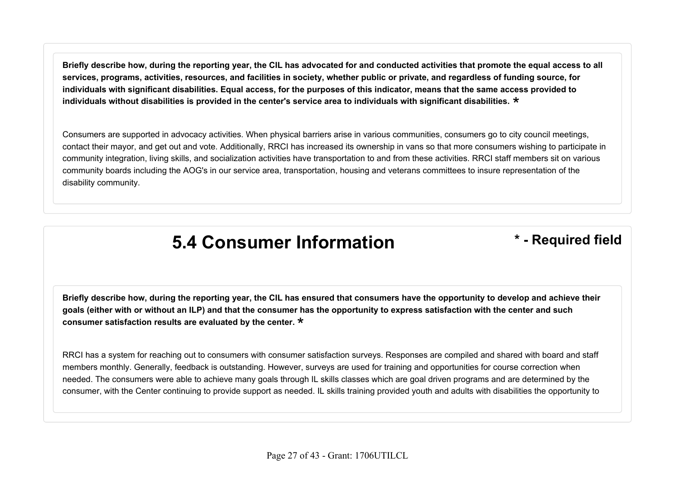**Briefly describe how, during the reporting year, the CIL has advocated for and conducted activities that promote the equal access to all services, programs, activities, resources, and facilities in society, whether public or private, and regardless of funding source, for individuals with significant disabilities. Equal access, for the purposes of this indicator, means that the same access provided to individuals without disabilities is provided in the center's service area to individuals with significant disabilities.** \*

Consumers are supported in advocacy activities. When physical barriers arise in various communities, consumers go to city council meetings, contact their mayor, and get out and vote. Additionally, RRCI has increased its ownership in vans so that more consumers wishing to participate in community integration, living skills, and socialization activities have transportation to and from these activities. RRCI staff members sit on various community boards including the AOG's in our service area, transportation, housing and veterans committees to insure representation of the disability community.

#### **5.4 Consumer Information \* - Required field**

**Briefly describe how, during the reporting year, the CIL has ensured that consumers have the opportunity to develop and achieve their goals (either with or without an ILP) and that the consumer has the opportunity to express satisfaction with the center and such consumer satisfaction results are evaluated by the center.** \*

RRCI has a system for reaching out to consumers with consumer satisfaction surveys. Responses are compiled and shared with board and staff members monthly. Generally, feedback is outstanding. However, surveys are used for training and opportunities for course correction when needed. The consumers were able to achieve many goals through IL skills classes which are goal driven programs and are determined by the consumer, with the Center continuing to provide support as needed. IL skills training provided youth and adults with disabilities the opportunity to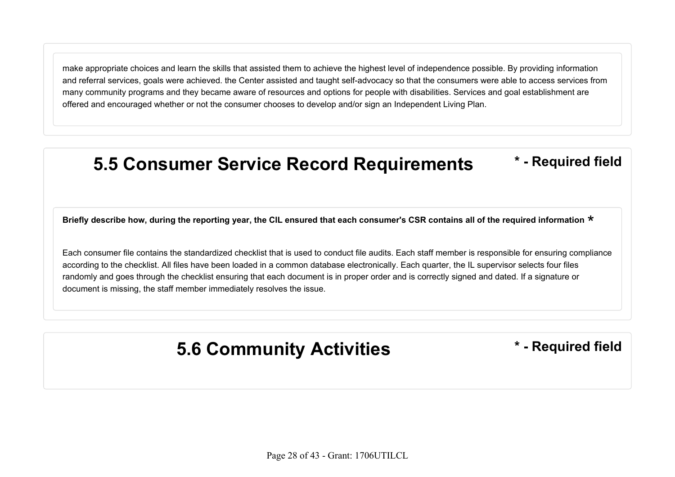make appropriate choices and learn the skills that assisted them to achieve the highest level of independence possible. By providing information and referral services, goals were achieved. the Center assisted and taught self-advocacy so that the consumers were able to access services from many community programs and they became aware of resources and options for people with disabilities. Services and goal establishment are offered and encouraged whether or not the consumer chooses to develop and/or sign an Independent Living Plan.

#### **5.5 Consumer Service Record Requirements \* - Required field**

Briefly describe how, during the reporting year, the CIL ensured that each consumer's CSR contains all of the required information  $\star$ 

Each consumer file contains the standardized checklist that is used to conduct file audits. Each staff member is responsible for ensuring compliance according to the checklist. All files have been loaded in a common database electronically. Each quarter, the IL supervisor selects four files randomly and goes through the checklist ensuring that each document is in proper order and is correctly signed and dated. If a signature or document is missing, the staff member immediately resolves the issue.

#### **5.6 Community Activities \* - Required field**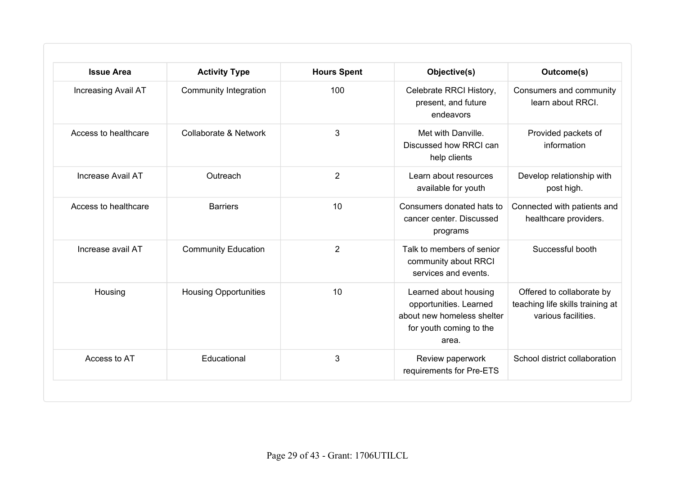| <b>Issue Area</b>    | <b>Activity Type</b>         | <b>Hours Spent</b> | Objective(s)                                                                                                      | Outcome(s)                                                                           |
|----------------------|------------------------------|--------------------|-------------------------------------------------------------------------------------------------------------------|--------------------------------------------------------------------------------------|
| Increasing Avail AT  | <b>Community Integration</b> | 100                | Celebrate RRCI History,<br>present, and future<br>endeavors                                                       | Consumers and community<br>learn about RRCI.                                         |
| Access to healthcare | Collaborate & Network        | 3                  | Met with Danville.<br>Discussed how RRCI can<br>help clients                                                      | Provided packets of<br>information                                                   |
| Increase Avail AT    | Outreach                     | $\overline{2}$     | Learn about resources<br>available for youth                                                                      | Develop relationship with<br>post high.                                              |
| Access to healthcare | <b>Barriers</b>              | 10                 | Consumers donated hats to<br>cancer center. Discussed<br>programs                                                 | Connected with patients and<br>healthcare providers.                                 |
| Increase avail AT    | <b>Community Education</b>   | $\overline{2}$     | Talk to members of senior<br>community about RRCI<br>services and events.                                         | Successful booth                                                                     |
| Housing              | <b>Housing Opportunities</b> | 10                 | Learned about housing<br>opportunities. Learned<br>about new homeless shelter<br>for youth coming to the<br>area. | Offered to collaborate by<br>teaching life skills training at<br>various facilities. |
| Access to AT         | Educational                  | 3                  | Review paperwork<br>requirements for Pre-ETS                                                                      | School district collaboration                                                        |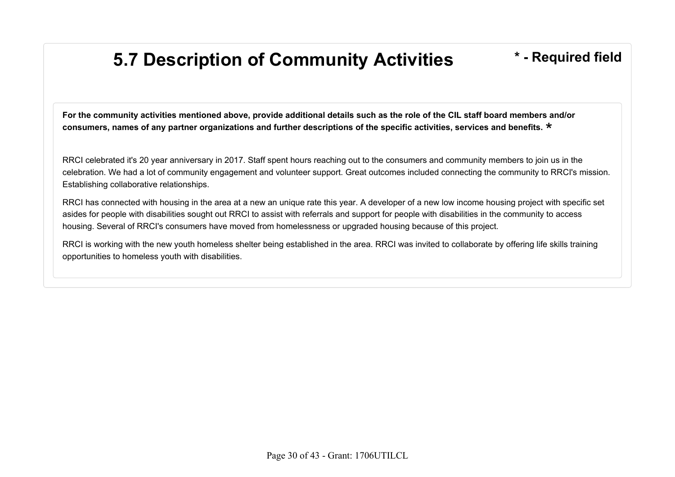## **5.7 Description of Community Activities \* - Required field**

**For the community activities mentioned above, provide additional details such as the role of the CIL staff board members and/or consumers, names of any partner organizations and further descriptions of the specific activities, services and benefits.** \*

RRCI celebrated it's 20 year anniversary in 2017. Staff spent hours reaching out to the consumers and community members to join us in the celebration. We had a lot of community engagement and volunteer support. Great outcomes included connecting the community to RRCI's mission. Establishing collaborative relationships.

RRCI has connected with housing in the area at a new an unique rate this year. A developer of a new low income housing project with specific set asides for people with disabilities sought out RRCI to assist with referrals and support for people with disabilities in the community to access housing. Several of RRCI's consumers have moved from homelessness or upgraded housing because of this project.

RRCI is working with the new youth homeless shelter being established in the area. RRCI was invited to collaborate by offering life skills training opportunities to homeless youth with disabilities.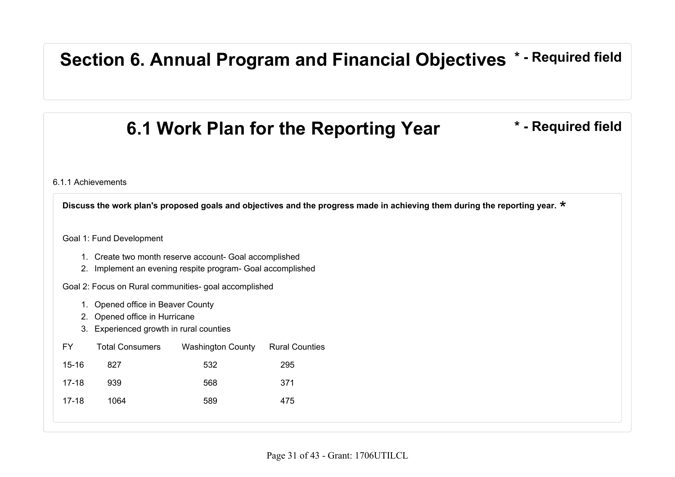#### **Section 6. Annual Program and Financial Objectives \* - Required field**

### **6.1 Work Plan for the Reporting Year \* - Required field**

6.1.1 Achievements

**Discuss the work plan's proposed goals and objectives and the progress made in achieving them during the reporting year.** \*

Goal 1: Fund Development

- 1. Create two month reserve account- Goal accomplished
- 2. Implement an evening respite program- Goal accomplished

Goal 2: Focus on Rural communities- goal accomplished

- 1. Opened office in Beaver County
- 2. Opened office in Hurricane
- 3. Experienced growth in rural counties

| FY.     | <b>Total Consumers</b> | Washington County Rural Counties |     |
|---------|------------------------|----------------------------------|-----|
| 15-16   | 827                    | 532                              | 295 |
| $17-18$ | 939                    | 568                              | 371 |
| $17-18$ | 1064                   | 589                              | 475 |
|         |                        |                                  |     |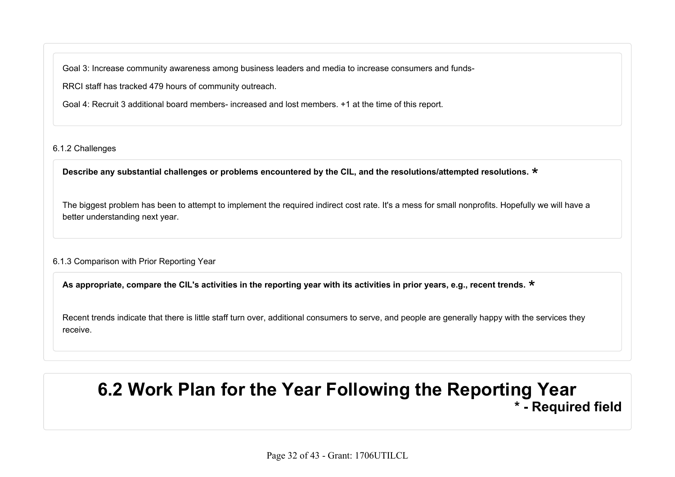Goal 3: Increase community awareness among business leaders and media to increase consumers and funds-

RRCI staff has tracked 479 hours of community outreach.

Goal 4: Recruit 3 additional board members- increased and lost members. +1 at the time of this report.

#### 6.1.2 Challenges

**Describe any substantial challenges or problems encountered by the CIL, and the resolutions/attempted resolutions.** \*

The biggest problem has been to attempt to implement the required indirect cost rate. It's a mess for small nonprofits. Hopefully we will have a better understanding next year.

#### 6.1.3 Comparison with Prior Reporting Year

**As appropriate, compare the CIL's activities in the reporting year with its activities in prior years, e.g., recent trends.** \*

Recent trends indicate that there is little staff turn over, additional consumers to serve, and people are generally happy with the services they receive.

#### **6.2 Work Plan for the Year Following the Reporting Year \* - Required field**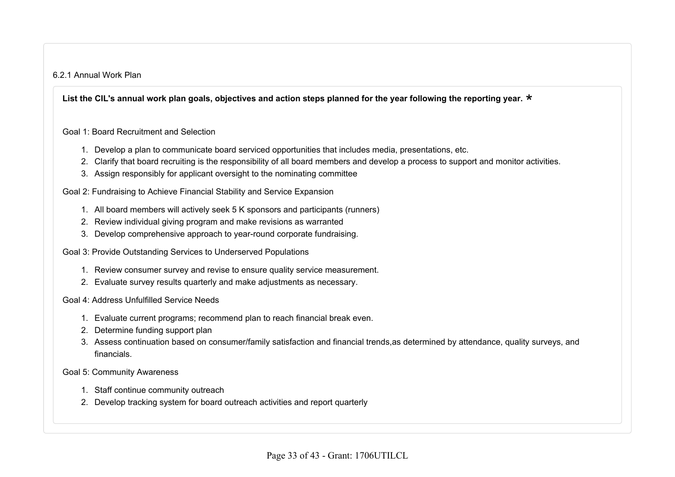#### 6.2.1 Annual Work Plan

List the CIL's annual work plan goals, objectives and action steps planned for the year following the reporting year. <mark>\*</mark><br>

Goal 1: Board Recruitment and Selection

- 1. Develop a plan to communicate board serviced opportunities that includes media, presentations, etc.
- 2. Clarify that board recruiting is the responsibility of all board members and develop a process to support and monitor activities.
- 3. Assign responsibly for applicant oversight to the nominating committee

Goal 2: Fundraising to Achieve Financial Stability and Service Expansion

- 1. All board members will actively seek 5 K sponsors and participants (runners)
- 2. Review individual giving program and make revisions as warranted
- 3. Develop comprehensive approach to year-round corporate fundraising.
- Goal 3: Provide Outstanding Services to Underserved Populations
	- 1. Review consumer survey and revise to ensure quality service measurement.
	- 2. Evaluate survey results quarterly and make adjustments as necessary.

Goal 4: Address Unfulfilled Service Needs

- 1. Evaluate current programs; recommend plan to reach financial break even.
- 2. Determine funding support plan
- 3. Assess continuation based on consumer/family satisfaction and financial trends,as determined by attendance, quality surveys, and financials.

Goal 5: Community Awareness

- 1. Staff continue community outreach
- 2. Develop tracking system for board outreach activities and report quarterly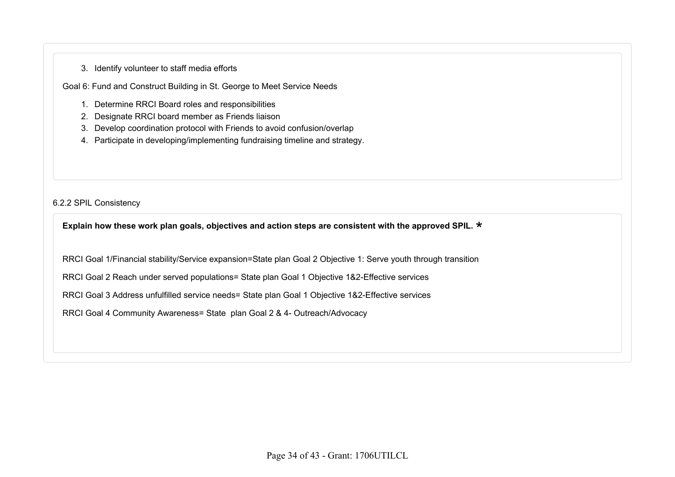#### 3. Identify volunteer to staff media efforts

Goal 6: Fund and Construct Building in St. George to Meet Service Needs

- 1. Determine RRCI Board roles and responsibilities
- 2. Designate RRCI board member as Friends liaison
- 3. Develop coordination protocol with Friends to avoid confusion/overlap
- 4. Participate in developing/implementing fundraising timeline and strategy.

6.2.2 SPIL Consistency

**Explain how these work plan goals, objectives and action steps are consistent with the approved SPIL.** \*

RRCI Goal 1/Financial stability/Service expansion=State plan Goal 2 Objective 1: Serve youth through transition

RRCI Goal 2 Reach under served populations= State plan Goal 1 Objective 1&2-Effective services

RRCI Goal 3 Address unfulfilled service needs= State plan Goal 1 Objective 1&2-Effective services

RRCI Goal 4 Community Awareness= State plan Goal 2 & 4- Outreach/Advocacy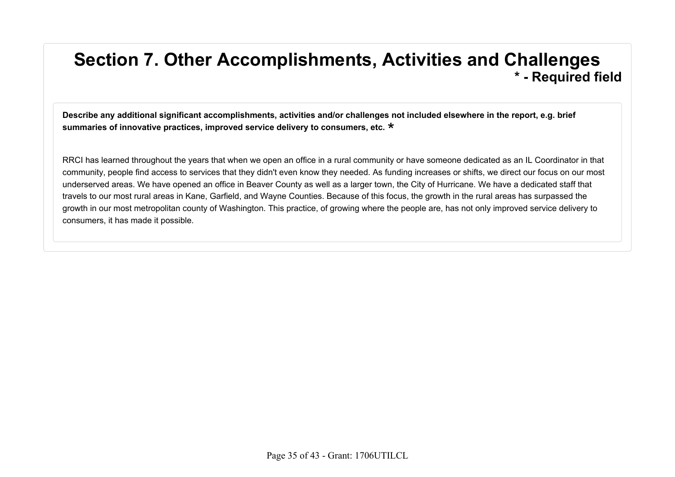#### **Section 7. Other Accomplishments, Activities and Challenges \* - Required field**

**Describe any additional significant accomplishments, activities and/or challenges not included elsewhere in the report, e.g. brief summaries of innovative practices, improved service delivery to consumers, etc.** \*

RRCI has learned throughout the years that when we open an office in a rural community or have someone dedicated as an IL Coordinator in that community, people find access to services that they didn't even know they needed. As funding increases or shifts, we direct our focus on our most underserved areas. We have opened an office in Beaver County as well as a larger town, the City of Hurricane. We have a dedicated staff that travels to our most rural areas in Kane, Garfield, and Wayne Counties. Because of this focus, the growth in the rural areas has surpassed the growth in our most metropolitan county of Washington. This practice, of growing where the people are, has not only improved service delivery to consumers, it has made it possible.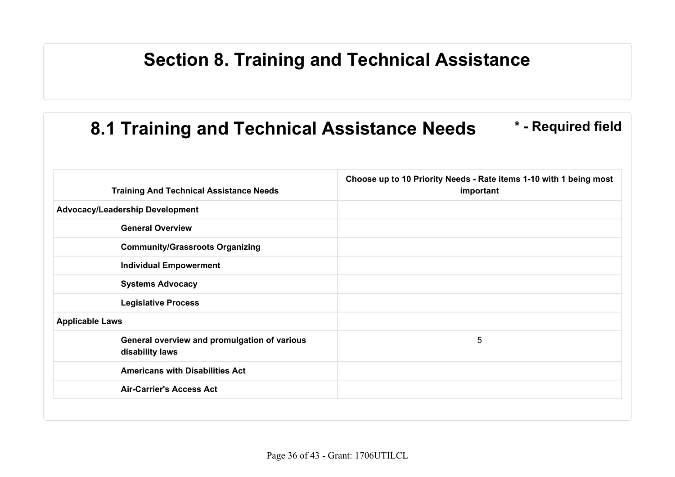#### **Section 8. Training and Technical Assistance**

## **8.1 Training and Technical Assistance Needs \* - Required field**

| <b>Training And Technical Assistance Needs</b>                  | Choose up to 10 Priority Needs - Rate items 1-10 with 1 being most<br>important |
|-----------------------------------------------------------------|---------------------------------------------------------------------------------|
| <b>Advocacy/Leadership Development</b>                          |                                                                                 |
| <b>General Overview</b>                                         |                                                                                 |
| <b>Community/Grassroots Organizing</b>                          |                                                                                 |
| <b>Individual Empowerment</b>                                   |                                                                                 |
| <b>Systems Advocacy</b>                                         |                                                                                 |
| <b>Legislative Process</b>                                      |                                                                                 |
| <b>Applicable Laws</b>                                          |                                                                                 |
| General overview and promulgation of various<br>disability laws | 5                                                                               |
| <b>Americans with Disabilities Act</b>                          |                                                                                 |
| <b>Air-Carrier's Access Act</b>                                 |                                                                                 |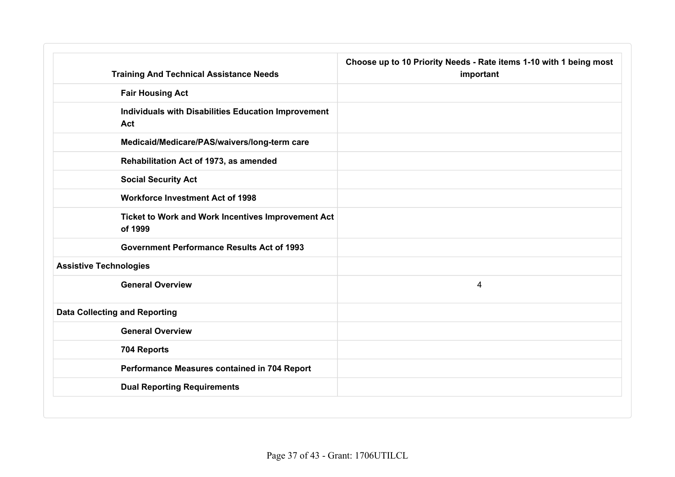|                                      | <b>Training And Technical Assistance Needs</b>      | Choose up to 10 Priority Needs - Rate items 1-10 with 1 being most<br>important |
|--------------------------------------|-----------------------------------------------------|---------------------------------------------------------------------------------|
| <b>Fair Housing Act</b>              |                                                     |                                                                                 |
| Act                                  | Individuals with Disabilities Education Improvement |                                                                                 |
|                                      | Medicaid/Medicare/PAS/waivers/long-term care        |                                                                                 |
|                                      | Rehabilitation Act of 1973, as amended              |                                                                                 |
| <b>Social Security Act</b>           |                                                     |                                                                                 |
|                                      | <b>Workforce Investment Act of 1998</b>             |                                                                                 |
| of 1999                              | Ticket to Work and Work Incentives Improvement Act  |                                                                                 |
|                                      | <b>Government Performance Results Act of 1993</b>   |                                                                                 |
| <b>Assistive Technologies</b>        |                                                     |                                                                                 |
| <b>General Overview</b>              |                                                     | 4                                                                               |
| <b>Data Collecting and Reporting</b> |                                                     |                                                                                 |
| <b>General Overview</b>              |                                                     |                                                                                 |
| 704 Reports                          |                                                     |                                                                                 |
|                                      | Performance Measures contained in 704 Report        |                                                                                 |
|                                      | <b>Dual Reporting Requirements</b>                  |                                                                                 |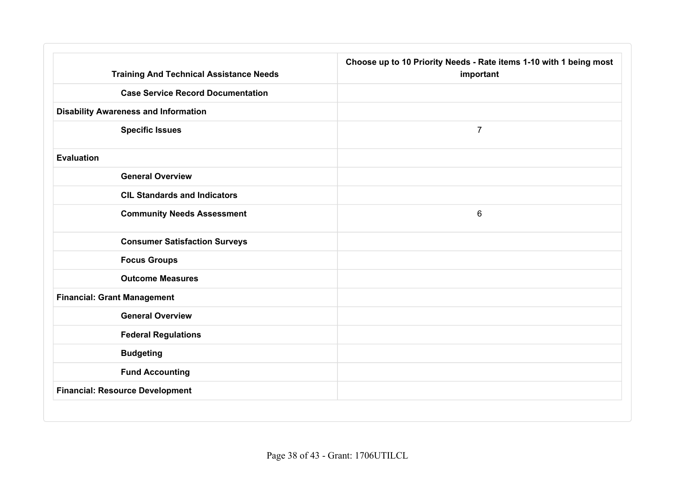| <b>Training And Technical Assistance Needs</b> | Choose up to 10 Priority Needs - Rate items 1-10 with 1 being most<br>important |  |
|------------------------------------------------|---------------------------------------------------------------------------------|--|
| <b>Case Service Record Documentation</b>       |                                                                                 |  |
| <b>Disability Awareness and Information</b>    |                                                                                 |  |
| <b>Specific Issues</b>                         | $\overline{7}$                                                                  |  |
| <b>Evaluation</b>                              |                                                                                 |  |
| <b>General Overview</b>                        |                                                                                 |  |
| <b>CIL Standards and Indicators</b>            |                                                                                 |  |
| <b>Community Needs Assessment</b>              | 6                                                                               |  |
| <b>Consumer Satisfaction Surveys</b>           |                                                                                 |  |
| <b>Focus Groups</b>                            |                                                                                 |  |
| <b>Outcome Measures</b>                        |                                                                                 |  |
| <b>Financial: Grant Management</b>             |                                                                                 |  |
| <b>General Overview</b>                        |                                                                                 |  |
| <b>Federal Regulations</b>                     |                                                                                 |  |
| <b>Budgeting</b>                               |                                                                                 |  |
| <b>Fund Accounting</b>                         |                                                                                 |  |
| <b>Financial: Resource Development</b>         |                                                                                 |  |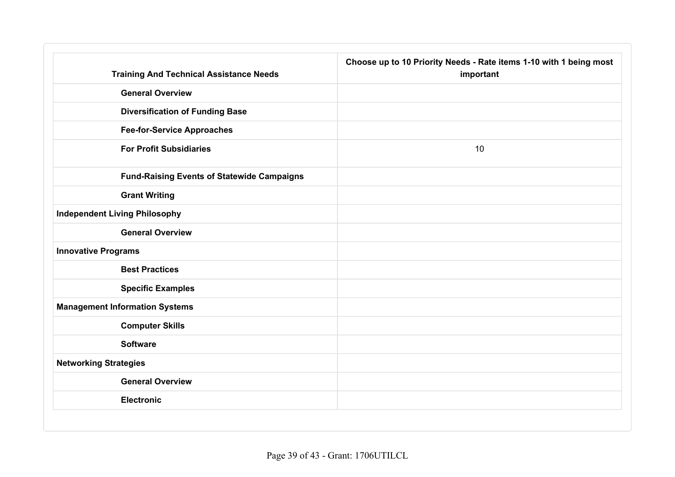| <b>Training And Technical Assistance Needs</b>    | Choose up to 10 Priority Needs - Rate items 1-10 with 1 being most<br>important |
|---------------------------------------------------|---------------------------------------------------------------------------------|
| <b>General Overview</b>                           |                                                                                 |
| <b>Diversification of Funding Base</b>            |                                                                                 |
| <b>Fee-for-Service Approaches</b>                 |                                                                                 |
| <b>For Profit Subsidiaries</b>                    | 10                                                                              |
| <b>Fund-Raising Events of Statewide Campaigns</b> |                                                                                 |
| <b>Grant Writing</b>                              |                                                                                 |
| <b>Independent Living Philosophy</b>              |                                                                                 |
| <b>General Overview</b>                           |                                                                                 |
| <b>Innovative Programs</b>                        |                                                                                 |
| <b>Best Practices</b>                             |                                                                                 |
| <b>Specific Examples</b>                          |                                                                                 |
| <b>Management Information Systems</b>             |                                                                                 |
| <b>Computer Skills</b>                            |                                                                                 |
| <b>Software</b>                                   |                                                                                 |
| <b>Networking Strategies</b>                      |                                                                                 |
| <b>General Overview</b>                           |                                                                                 |
| <b>Electronic</b>                                 |                                                                                 |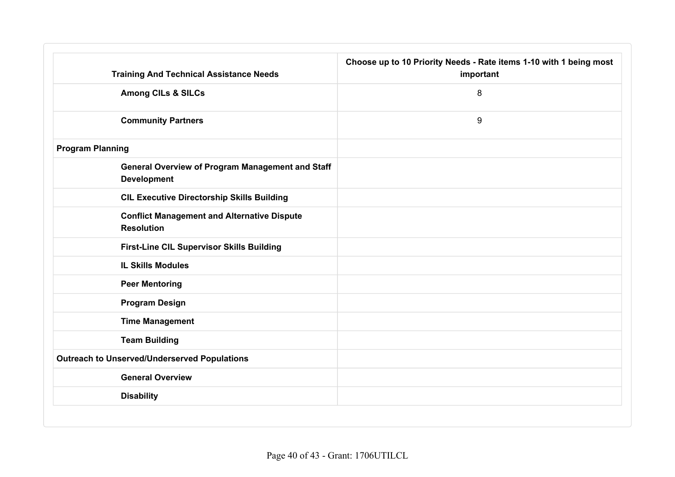| <b>Training And Technical Assistance Needs</b>                                | Choose up to 10 Priority Needs - Rate items 1-10 with 1 being most<br>important<br>8 |  |
|-------------------------------------------------------------------------------|--------------------------------------------------------------------------------------|--|
| <b>Among CILs &amp; SILCs</b>                                                 |                                                                                      |  |
| <b>Community Partners</b>                                                     | 9                                                                                    |  |
| <b>Program Planning</b>                                                       |                                                                                      |  |
| <b>General Overview of Program Management and Staff</b><br><b>Development</b> |                                                                                      |  |
| <b>CIL Executive Directorship Skills Building</b>                             |                                                                                      |  |
| <b>Conflict Management and Alternative Dispute</b><br><b>Resolution</b>       |                                                                                      |  |
| First-Line CIL Supervisor Skills Building                                     |                                                                                      |  |
| <b>IL Skills Modules</b>                                                      |                                                                                      |  |
| <b>Peer Mentoring</b>                                                         |                                                                                      |  |
| <b>Program Design</b>                                                         |                                                                                      |  |
| <b>Time Management</b>                                                        |                                                                                      |  |
| <b>Team Building</b>                                                          |                                                                                      |  |
| <b>Outreach to Unserved/Underserved Populations</b>                           |                                                                                      |  |
| <b>General Overview</b>                                                       |                                                                                      |  |
| <b>Disability</b>                                                             |                                                                                      |  |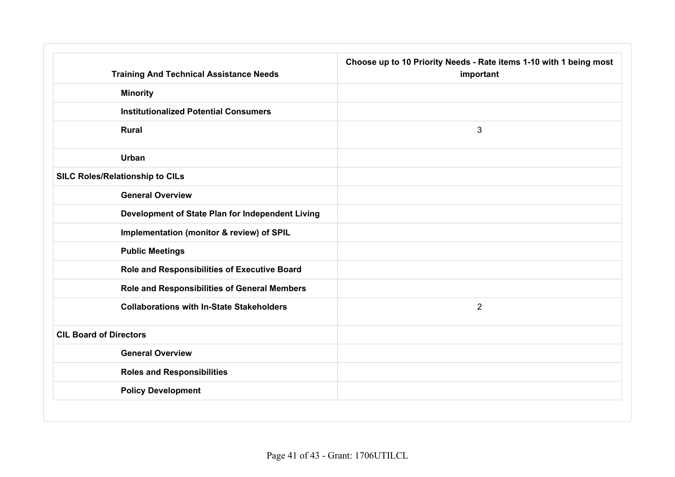| <b>Training And Technical Assistance Needs</b>   | Choose up to 10 Priority Needs - Rate items 1-10 with 1 being most<br>important |
|--------------------------------------------------|---------------------------------------------------------------------------------|
| <b>Minority</b>                                  |                                                                                 |
| <b>Institutionalized Potential Consumers</b>     |                                                                                 |
| <b>Rural</b>                                     | 3                                                                               |
| Urban                                            |                                                                                 |
| <b>SILC Roles/Relationship to CILs</b>           |                                                                                 |
| <b>General Overview</b>                          |                                                                                 |
| Development of State Plan for Independent Living |                                                                                 |
| Implementation (monitor & review) of SPIL        |                                                                                 |
| <b>Public Meetings</b>                           |                                                                                 |
| Role and Responsibilities of Executive Board     |                                                                                 |
| Role and Responsibilities of General Members     |                                                                                 |
| <b>Collaborations with In-State Stakeholders</b> | $\overline{2}$                                                                  |
| <b>CIL Board of Directors</b>                    |                                                                                 |
| <b>General Overview</b>                          |                                                                                 |
| <b>Roles and Responsibilities</b>                |                                                                                 |
| <b>Policy Development</b>                        |                                                                                 |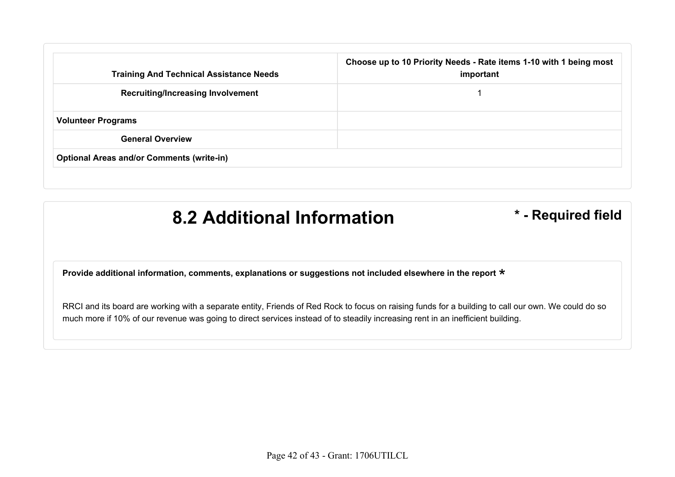| <b>Training And Technical Assistance Needs</b>   | Choose up to 10 Priority Needs - Rate items 1-10 with 1 being most<br>important |
|--------------------------------------------------|---------------------------------------------------------------------------------|
| <b>Recruiting/Increasing Involvement</b>         |                                                                                 |
| <b>Volunteer Programs</b>                        |                                                                                 |
| <b>General Overview</b>                          |                                                                                 |
| <b>Optional Areas and/or Comments (write-in)</b> |                                                                                 |

#### **8.2 Additional Information \* - Required field**

**Provide additional information, comments, explanations or suggestions not included elsewhere in the report** \*

RRCI and its board are working with a separate entity, Friends of Red Rock to focus on raising funds for a building to call our own. We could do so much more if 10% of our revenue was going to direct services instead of to steadily increasing rent in an inefficient building.